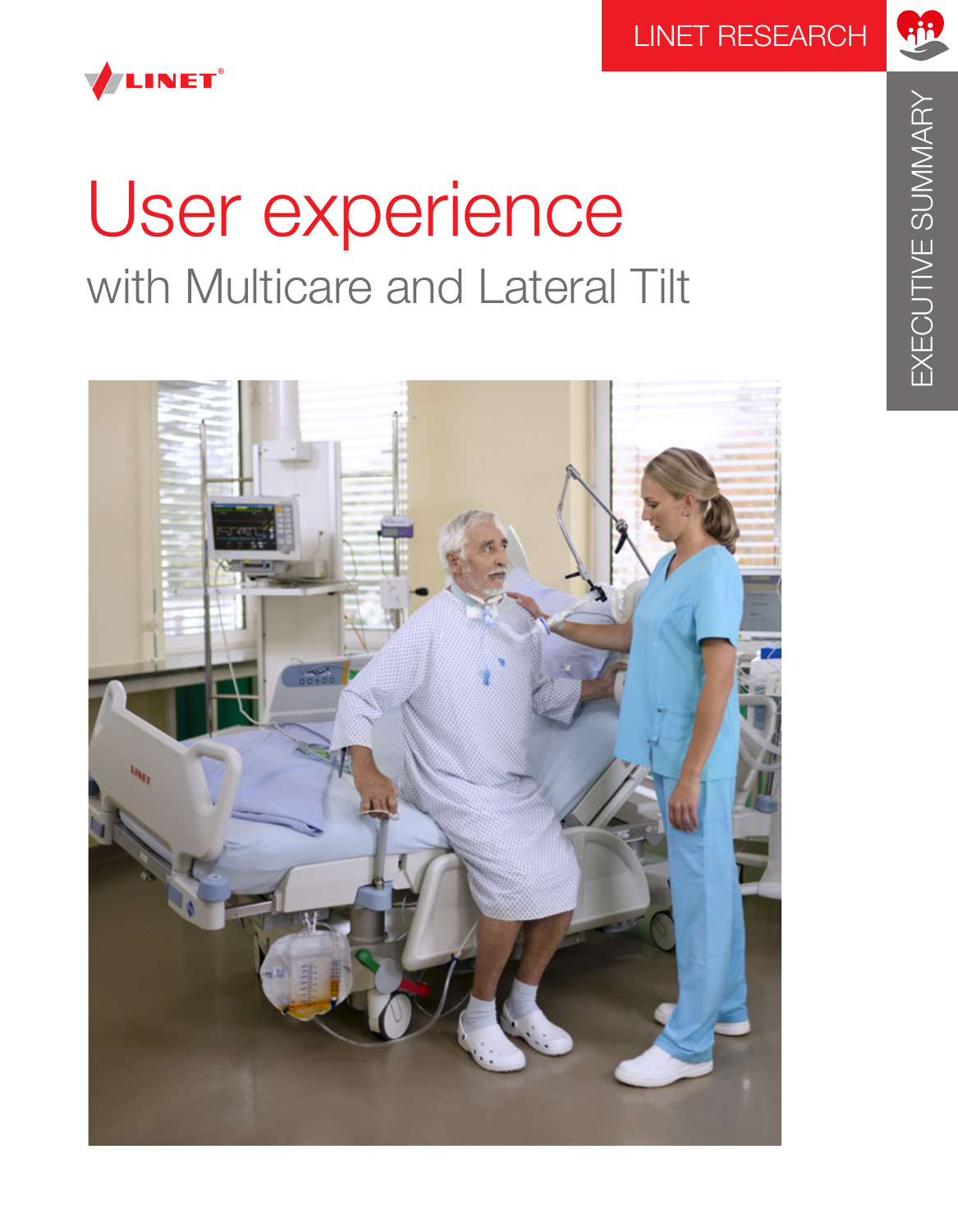

# User experience with Multicare and Lateral Tilt

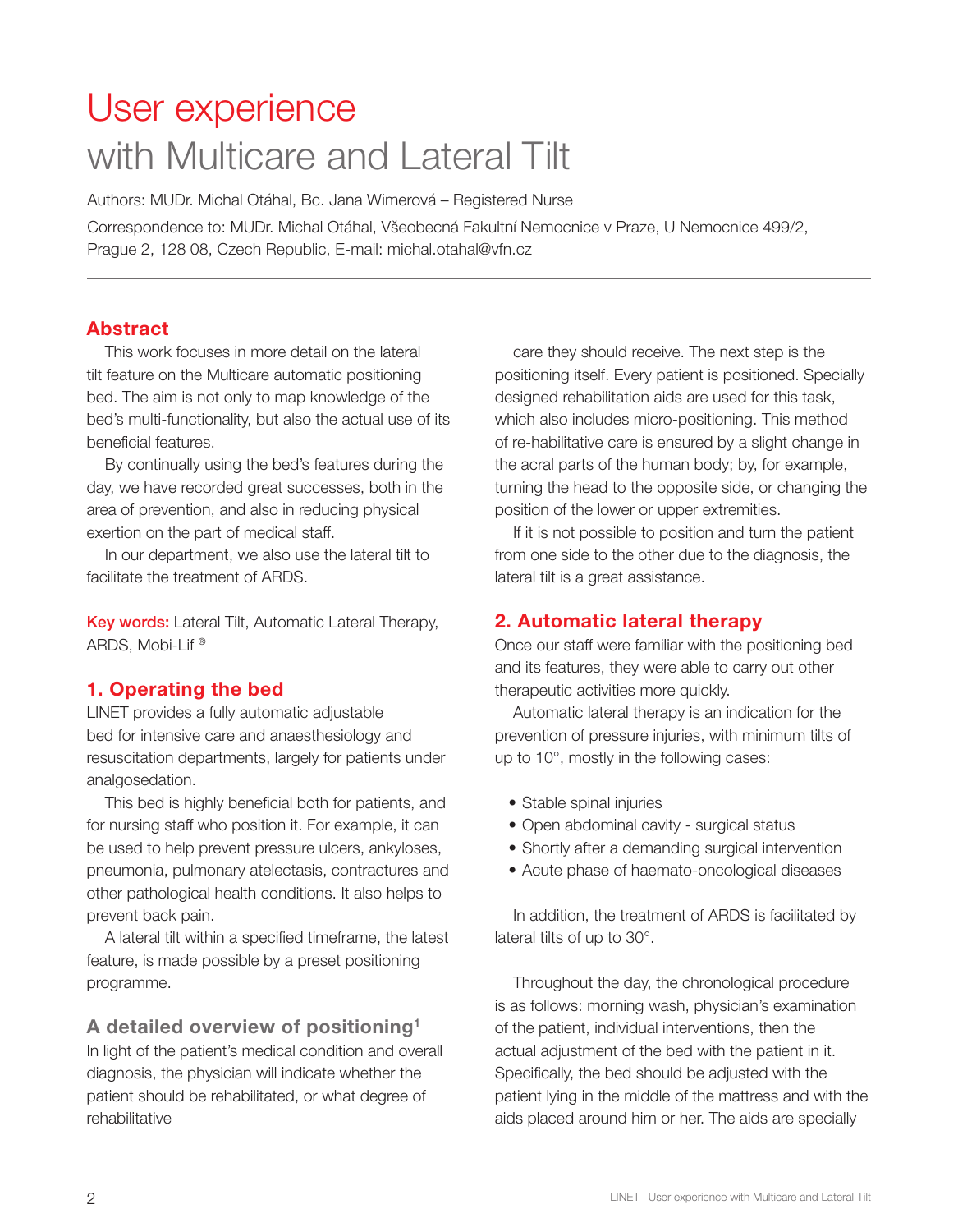# User experience with Multicare and Lateral Tilt

Authors: MUDr. Michal Otáhal, Bc. Jana Wimerová – Registered Nurse

Correspondence to: MUDr. Michal Otáhal, Všeobecná Fakultní Nemocnice v Praze, U Nemocnice 499/2, Prague 2, 128 08, Czech Republic, E-mail: michal.otahal@vfn.cz

## Abstract

This work focuses in more detail on the lateral tilt feature on the Multicare automatic positioning bed. The aim is not only to map knowledge of the bed's multi-functionality, but also the actual use of its beneficial features.

By continually using the bed's features during the day, we have recorded great successes, both in the area of prevention, and also in reducing physical exertion on the part of medical staff.

In our department, we also use the lateral tilt to facilitate the treatment of ARDS.

Key words: Lateral Tilt, Automatic Lateral Therapy, ARDS, Mobi-Lif ®

## 1. Operating the bed

LINET provides a fully automatic adjustable bed for intensive care and anaesthesiology and resuscitation departments, largely for patients under analgosedation.

This bed is highly beneficial both for patients, and for nursing staff who position it. For example, it can be used to help prevent pressure ulcers, ankyloses, pneumonia, pulmonary atelectasis, contractures and other pathological health conditions. It also helps to prevent back pain.

A lateral tilt within a specified timeframe, the latest feature, is made possible by a preset positioning programme.

A detailed overview of positioning1 In light of the patient's medical condition and overall diagnosis, the physician will indicate whether the patient should be rehabilitated, or what degree of rehabilitative

care they should receive. The next step is the positioning itself. Every patient is positioned. Specially designed rehabilitation aids are used for this task, which also includes micro-positioning. This method of re-habilitative care is ensured by a slight change in the acral parts of the human body; by, for example, turning the head to the opposite side, or changing the position of the lower or upper extremities.

If it is not possible to position and turn the patient from one side to the other due to the diagnosis, the lateral tilt is a great assistance.

## 2. Automatic lateral therapy

Once our staff were familiar with the positioning bed and its features, they were able to carry out other therapeutic activities more quickly.

Automatic lateral therapy is an indication for the prevention of pressure injuries, with minimum tilts of up to 10°, mostly in the following cases:

- Stable spinal injuries
- Open abdominal cavity surgical status
- Shortly after a demanding surgical intervention
- Acute phase of haemato-oncological diseases

In addition, the treatment of ARDS is facilitated by lateral tilts of up to 30°.

Throughout the day, the chronological procedure is as follows: morning wash, physician's examination of the patient, individual interventions, then the actual adjustment of the bed with the patient in it. Specifically, the bed should be adjusted with the patient lying in the middle of the mattress and with the aids placed around him or her. The aids are specially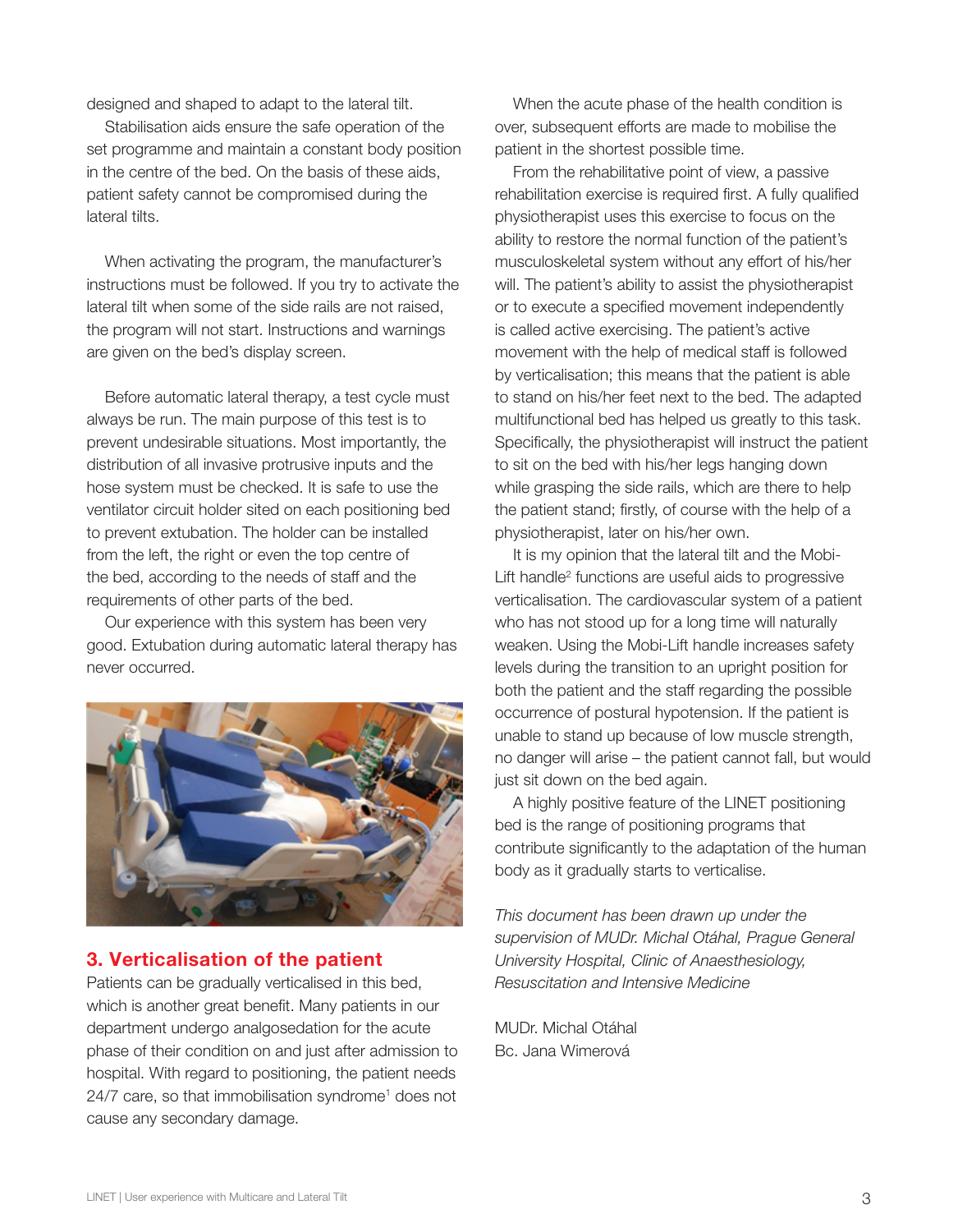designed and shaped to adapt to the lateral tilt.

Stabilisation aids ensure the safe operation of the set programme and maintain a constant body position in the centre of the bed. On the basis of these aids, patient safety cannot be compromised during the lateral tilts.

When activating the program, the manufacturer's instructions must be followed. If you try to activate the lateral tilt when some of the side rails are not raised, the program will not start. Instructions and warnings are given on the bed's display screen.

Before automatic lateral therapy, a test cycle must always be run. The main purpose of this test is to prevent undesirable situations. Most importantly, the distribution of all invasive protrusive inputs and the hose system must be checked. It is safe to use the ventilator circuit holder sited on each positioning bed to prevent extubation. The holder can be installed from the left, the right or even the top centre of the bed, according to the needs of staff and the requirements of other parts of the bed.

Our experience with this system has been very good. Extubation during automatic lateral therapy has never occurred.



#### 3. Verticalisation of the patient

Patients can be gradually verticalised in this bed, which is another great benefit. Many patients in our department undergo analgosedation for the acute phase of their condition on and just after admission to hospital. With regard to positioning, the patient needs 24/7 care, so that immobilisation syndrome<sup>1</sup> does not cause any secondary damage.

When the acute phase of the health condition is over, subsequent efforts are made to mobilise the patient in the shortest possible time.

From the rehabilitative point of view, a passive rehabilitation exercise is required first. A fully qualified physiotherapist uses this exercise to focus on the ability to restore the normal function of the patient's musculoskeletal system without any effort of his/her will. The patient's ability to assist the physiotherapist or to execute a specified movement independently is called active exercising. The patient's active movement with the help of medical staff is followed by verticalisation; this means that the patient is able to stand on his/her feet next to the bed. The adapted multifunctional bed has helped us greatly to this task. Specifically, the physiotherapist will instruct the patient to sit on the bed with his/her legs hanging down while grasping the side rails, which are there to help the patient stand; firstly, of course with the help of a physiotherapist, later on his/her own.

It is my opinion that the lateral tilt and the Mobi-Lift handle2 functions are useful aids to progressive verticalisation. The cardiovascular system of a patient who has not stood up for a long time will naturally weaken. Using the Mobi-Lift handle increases safety levels during the transition to an upright position for both the patient and the staff regarding the possible occurrence of postural hypotension. If the patient is unable to stand up because of low muscle strength, no danger will arise – the patient cannot fall, but would just sit down on the bed again.

A highly positive feature of the LINET positioning bed is the range of positioning programs that contribute significantly to the adaptation of the human body as it gradually starts to verticalise.

*This document has been drawn up under the supervision of MUDr. Michal Otáhal, Prague General University Hospital, Clinic of Anaesthesiology, Resuscitation and Intensive Medicine*

MUDr. Michal Otáhal Bc. Jana Wimerová